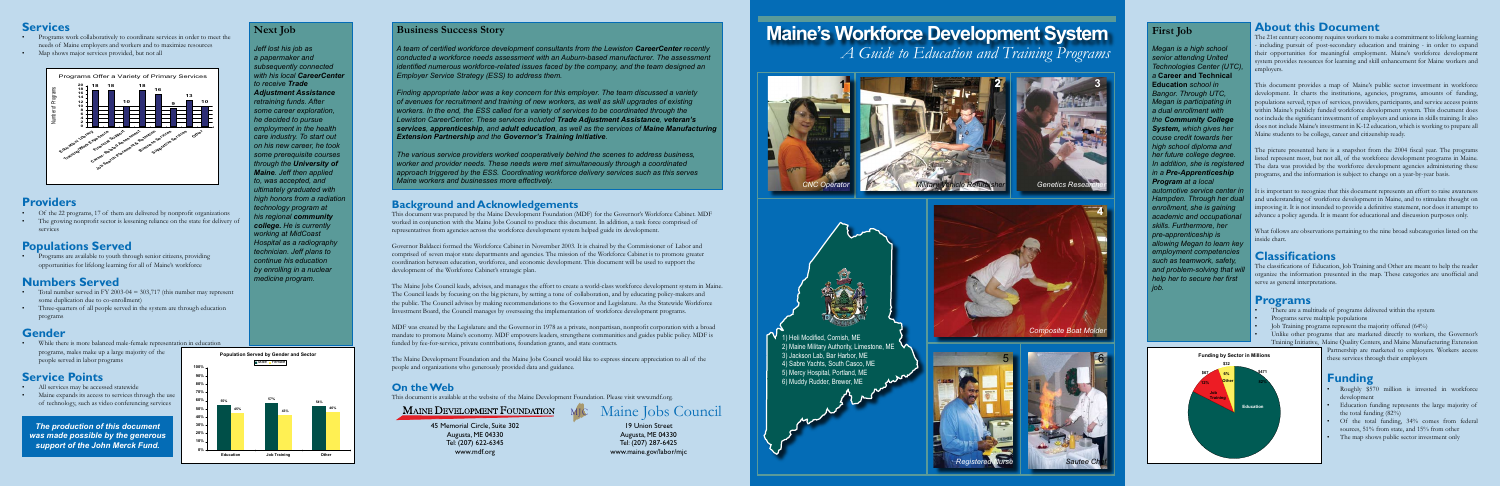## **About this Document**

The 21st century economy requires workers to make a commitment to lifelong learning - including pursuit of post-secondary education and training - in order to expand their opportunities for meaningful employment. Maine's workforce development system provides resources for learning and skill enhancement for Maine workers and employers.

This document provides a map of Maine's public sector investment in workforce development. It charts the institutions, agencies, programs, amounts of funding, populations served, types of services, providers, participants, and service access points within Maine's publicly funded workforce development system. This document does not include the significant investment of employers and unions in skills training. It also does not include Maine's investment in K-12 education, which is working to prepare all Maine students to be college, career and citizenship ready.

The picture presented here is a snapshot from the 2004 fiscal year. The programs listed represent most, but not all, of the workforce development programs in Maine. The data was provided by the workforce development agencies administering these programs, and the information is subject to change on a year-by-year basis.

- There are a multitude of programs delivered within the system
- Programs serve multiple populations
- Job Training programs represent the majority offered (64%)
- Unlike other programs that are marketed directly to workers, the Governor's Training Initiative, Maine Quality Centers, and Maine Manufacturing Extension
- Programs work collaboratively to coordinate services in order to meet the needs of Maine employers and workers and to maximize resources
- Map shows major services provided, but not all

It is important to recognize that this document represents an effort to raise awareness and understanding of workforce development in Maine, and to stimulate thought on improving it. It is not intended to provide a definitive statement, nor does it attempt to advance a policy agenda. It is meant for educational and discussion purposes only.

• Programs are available to youth through senior citizens, providing opportunities for lifelong learning for all of Maine's workforce

- Total number served in FY 2003-04 = 303,717 (this number may represent some duplication due to co-enrollment)
- Three-quarters of all people served in the system are through education programs

What follows are observations pertaining to the nine broad subcategories listed on the inside chart.

#### **Classifications**

The classifications of Education, Job Training and Other are meant to help the reader organize the information presented in the map. These categories are unofficial and serve as general interpretations.

#### **Programs**

Partnership are marketed to employers. Workers access these services through their employers

#### **Services**

## **Providers**

- Of the 22 programs, 17 of them are delivered by nonprofit organizations
- The growing nonprofit sector is lessening reliance on the state for delivery of services

## **Populations Served**

# **Numbers Served**

# **Gender**

• While there is more balanced male-female representation in education programs, males make up a large majority of the people served in labor programs

# **Service Points**

- All services may be accessed statewide
- Maine expands its access to services through the use of technology, such as video conferencing services

#### **Background and Acknowledgements**

This document was prepared by the Maine Development Foundation (MDF) for the Governor's Workforce Cabinet. MDF worked in conjunction with the Maine Jobs Council to produce this document. In addition, a task force comprised of representatives from agencies across the workforce development system helped guide its development.

Governor Baldacci formed the Workforce Cabinet in November 2003. It is chaired by the Commissioner of Labor and comprised of seven major state departments and agencies. The mission of the Workforce Cabinet is to promote greater coordination between education, workforce, and economic development. This document will be used to support the development of the Workforce Cabinet's strategic plan.

> 19 Union Street Augusta, ME 04330 Tel: (207) 287-6425 www.maine.gov/labor/mjc

- Roughly \$570 million is invested in workforce development
- Education funding represents the large majority of the total funding (82%)
- Of the total funding, 34% comes from federal sources, 51% from state, and 15% from other
- The map shows public sector investment only

The Maine Jobs Council leads, advises, and manages the effort to create a world-class workforce development system in Maine. The Council leads by focusing on the big picture, by setting a tone of collaboration, and by educating policy-makers and the public. The Council advises by making recommendations to the Governor and Legislature. As the Statewide Workforce Investment Board, the Council manages by overseeing the implementation of workforce development programs.

MDF was created by the Legislature and the Governor in 1978 as a private, nonpartisan, nonprofit corporation with a broad mandate to promote Maine's economy. MDF empowers leaders, strengthens communities and guides public policy. MDF is funded by fee-for-service, private contributions, foundation grants, and state contracts.

people and organizations who generously provided data and guidance.

#### **On the Web**

This document is available at the website of the Maine Development Foundation. Please visit www.mdf.org.

#### **Business Success Story**

*A team of certified workforce development consultants from the Lewiston CareerCenter recently conducted a workforce needs assessment with an Auburn-based manufacturer. The assessment identified numerous workforce-related issues faced by the company, and the team designed an Employer Service Strategy (ESS) to address them.*

*Finding appropriate labor was a key concern for this employer. The team discussed a variety of avenues for recruitment and training of new workers, as well as skill upgrades of existing workers. In the end, the ESS called for a variety of services to be coordinated through the Lewiston CareerCenter. These services included Trade Adjustment Assistance, veteran's services, apprenticeship, and adult education, as well as the services of Maine Manufacturing Extension Partnership and the Governor's Training Initiative.*

*The various service providers worked cooperatively behind the scenes to address business, worker and provider needs. These needs were met simultaneously through a coordinated approach triggered by the ESS. Coordinating workforce delivery services such as this serves Maine workers and businesses more effectively.*

#### **First Job**

*Megan is a high school senior attending United Technologies Center (UTC), a* **Career and Technical Education** *school in Bangor. Through UTC, Megan is participating in a dual enrollment with the Community College System, which gives her couse credit towards her high school diploma and her future college degree. In addition, she is registere in a Pre-Apprenticeship Program at a local automotive service center in Hampden. Through her dual enrollment, she is gaining academic and occupational skills. Furthermore, her pre-apprenticeship is allowing Megan to learn key employment competencies such as teamwork, safety,*  and problem-solving that **w** *help her to secure her first job.*



#### **Next Job**

*Jeff lost his job as a papermaker and subsequently connected with his local CareerCenter to receive Trade Adjustment Assistance retraining funds. After some career exploration, he decided to pursue employment in the health care industry. To start out on his new career, he took some prerequisite courses through the University of Maine. Jeff then applied to, was accepted, and ultimately graduated with high honors from a radiation technology program at his regional community college. He is currently working at MidCoast Hospital as a radiography technician. Jeff plans to continue his education by enrolling in a nuclear medicine program.*

> 45 Memorial Circle, Suite 302 Augusta, ME 04330 Tel: (207) 622-6345 www.mdf.org

#### **Funding**

# **Maine's Workforce Development System** *A Guide to Education and Training Programs*



**4 4**

*The production of this document was made possible by the generous support of the John Merck Fund.*